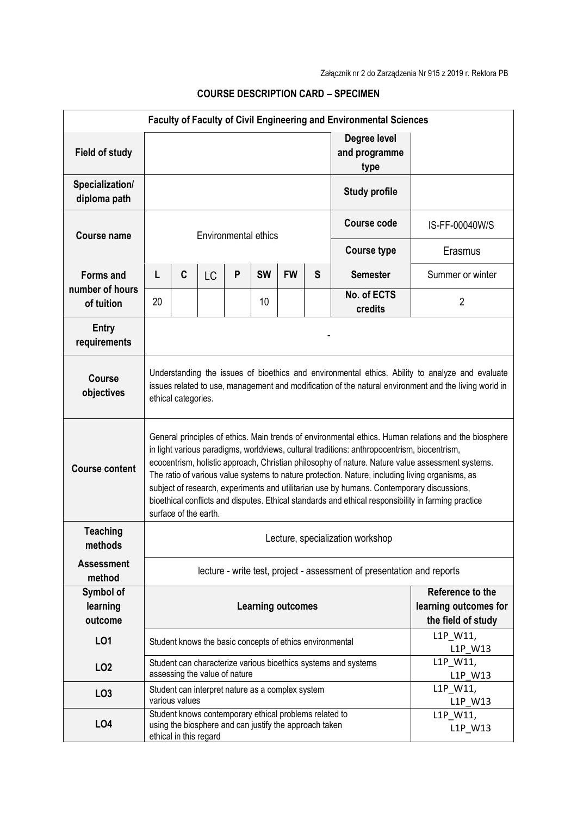| <b>Faculty of Faculty of Civil Engineering and Environmental Sciences</b> |                                                                                                                                                                                                                                                                                                                                                                                                                                                                                                                                                                                                                                         |                        |                                                                                                                  |   |           |                                                                 |   |                                       |                     |
|---------------------------------------------------------------------------|-----------------------------------------------------------------------------------------------------------------------------------------------------------------------------------------------------------------------------------------------------------------------------------------------------------------------------------------------------------------------------------------------------------------------------------------------------------------------------------------------------------------------------------------------------------------------------------------------------------------------------------------|------------------------|------------------------------------------------------------------------------------------------------------------|---|-----------|-----------------------------------------------------------------|---|---------------------------------------|---------------------|
| <b>Field of study</b>                                                     |                                                                                                                                                                                                                                                                                                                                                                                                                                                                                                                                                                                                                                         |                        |                                                                                                                  |   |           |                                                                 |   | Degree level<br>and programme<br>type |                     |
| Specialization/<br>diploma path                                           |                                                                                                                                                                                                                                                                                                                                                                                                                                                                                                                                                                                                                                         |                        |                                                                                                                  |   |           |                                                                 |   | <b>Study profile</b>                  |                     |
| <b>Course name</b>                                                        | <b>Environmental ethics</b>                                                                                                                                                                                                                                                                                                                                                                                                                                                                                                                                                                                                             |                        |                                                                                                                  |   |           |                                                                 |   | Course code                           | IS-FF-00040W/S      |
|                                                                           |                                                                                                                                                                                                                                                                                                                                                                                                                                                                                                                                                                                                                                         |                        |                                                                                                                  |   |           |                                                                 |   | <b>Course type</b>                    | Erasmus             |
| <b>Forms and</b><br>number of hours<br>of tuition                         | L                                                                                                                                                                                                                                                                                                                                                                                                                                                                                                                                                                                                                                       | C                      | <b>LC</b>                                                                                                        | P | <b>SW</b> | <b>FW</b>                                                       | S | <b>Semester</b>                       | Summer or winter    |
|                                                                           | 20                                                                                                                                                                                                                                                                                                                                                                                                                                                                                                                                                                                                                                      |                        |                                                                                                                  |   | 10        |                                                                 |   | No. of ECTS<br>credits                | $\overline{2}$      |
| <b>Entry</b><br>requirements                                              |                                                                                                                                                                                                                                                                                                                                                                                                                                                                                                                                                                                                                                         |                        |                                                                                                                  |   |           |                                                                 |   |                                       |                     |
| <b>Course</b><br>objectives                                               | Understanding the issues of bioethics and environmental ethics. Ability to analyze and evaluate<br>issues related to use, management and modification of the natural environment and the living world in<br>ethical categories.                                                                                                                                                                                                                                                                                                                                                                                                         |                        |                                                                                                                  |   |           |                                                                 |   |                                       |                     |
| <b>Course content</b>                                                     | General principles of ethics. Main trends of environmental ethics. Human relations and the biosphere<br>in light various paradigms, worldviews, cultural traditions: anthropocentrism, biocentrism,<br>ecocentrism, holistic approach, Christian philosophy of nature. Nature value assessment systems.<br>The ratio of various value systems to nature protection. Nature, including living organisms, as<br>subject of research, experiments and utilitarian use by humans. Contemporary discussions,<br>bioethical conflicts and disputes. Ethical standards and ethical responsibility in farming practice<br>surface of the earth. |                        |                                                                                                                  |   |           |                                                                 |   |                                       |                     |
| <b>Teaching</b><br>methods                                                | Lecture, specialization workshop                                                                                                                                                                                                                                                                                                                                                                                                                                                                                                                                                                                                        |                        |                                                                                                                  |   |           |                                                                 |   |                                       |                     |
| <b>Assessment</b><br>method                                               | lecture - write test, project - assessment of presentation and reports                                                                                                                                                                                                                                                                                                                                                                                                                                                                                                                                                                  |                        |                                                                                                                  |   |           |                                                                 |   |                                       |                     |
| Symbol of<br>learning<br>outcome                                          | <b>Learning outcomes</b>                                                                                                                                                                                                                                                                                                                                                                                                                                                                                                                                                                                                                |                        |                                                                                                                  |   |           | Reference to the<br>learning outcomes for<br>the field of study |   |                                       |                     |
| L <sub>01</sub>                                                           |                                                                                                                                                                                                                                                                                                                                                                                                                                                                                                                                                                                                                                         |                        | Student knows the basic concepts of ethics environmental                                                         |   |           |                                                                 |   |                                       | L1P_W11,<br>L1P W13 |
| LO <sub>2</sub>                                                           | Student can characterize various bioethics systems and systems<br>assessing the value of nature                                                                                                                                                                                                                                                                                                                                                                                                                                                                                                                                         |                        |                                                                                                                  |   |           | L1P_W11,<br>L1P_W13                                             |   |                                       |                     |
| LO <sub>3</sub>                                                           | L1P_W11,<br>Student can interpret nature as a complex system<br>various values                                                                                                                                                                                                                                                                                                                                                                                                                                                                                                                                                          |                        |                                                                                                                  |   |           | L1P_W13                                                         |   |                                       |                     |
| LO <sub>4</sub>                                                           |                                                                                                                                                                                                                                                                                                                                                                                                                                                                                                                                                                                                                                         | ethical in this regard | Student knows contemporary ethical problems related to<br>using the biosphere and can justify the approach taken |   |           |                                                                 |   |                                       | L1P_W11,<br>L1P_W13 |

## **COURSE DESCRIPTION CARD – SPECIMEN**